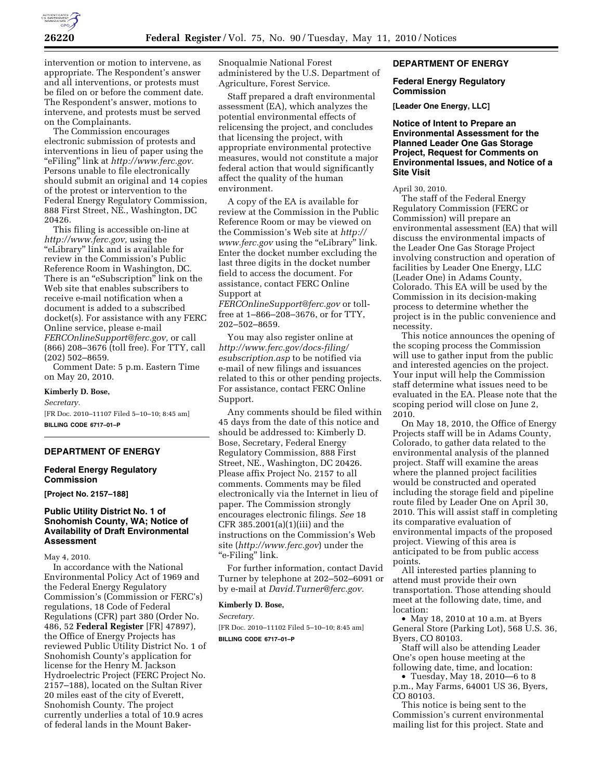

intervention or motion to intervene, as appropriate. The Respondent's answer and all interventions, or protests must be filed on or before the comment date. The Respondent's answer, motions to intervene, and protests must be served on the Complainants.

The Commission encourages electronic submission of protests and interventions in lieu of paper using the ''eFiling'' link at *http://www.ferc.gov.*  Persons unable to file electronically should submit an original and 14 copies of the protest or intervention to the Federal Energy Regulatory Commission, 888 First Street, NE., Washington, DC 20426.

This filing is accessible on-line at *http://www.ferc.gov,* using the ''eLibrary'' link and is available for review in the Commission's Public Reference Room in Washington, DC. There is an "eSubscription" link on the Web site that enables subscribers to receive e-mail notification when a document is added to a subscribed docket(s). For assistance with any FERC Online service, please e-mail *FERCOnlineSupport@ferc.gov,* or call (866) 208–3676 (toll free). For TTY, call (202) 502–8659.

Comment Date: 5 p.m. Eastern Time on May 20, 2010.

#### **Kimberly D. Bose,**

*Secretary.*  [FR Doc. 2010–11107 Filed 5–10–10; 8:45 am] **BILLING CODE 6717–01–P** 

#### **DEPARTMENT OF ENERGY**

## **Federal Energy Regulatory Commission**

**[Project No. 2157–188]** 

## **Public Utility District No. 1 of Snohomish County, WA; Notice of Availability of Draft Environmental Assessment**

May 4, 2010.

In accordance with the National Environmental Policy Act of 1969 and the Federal Energy Regulatory Commission's (Commission or FERC's) regulations, 18 Code of Federal Regulations (CFR) part 380 (Order No. 486, 52 **Federal Register** [FR] 47897), the Office of Energy Projects has reviewed Public Utility District No. 1 of Snohomish County's application for license for the Henry M. Jackson Hydroelectric Project (FERC Project No. 2157–188), located on the Sultan River 20 miles east of the city of Everett, Snohomish County. The project currently underlies a total of 10.9 acres of federal lands in the Mount BakerSnoqualmie National Forest administered by the U.S. Department of Agriculture, Forest Service.

Staff prepared a draft environmental assessment (EA), which analyzes the potential environmental effects of relicensing the project, and concludes that licensing the project, with appropriate environmental protective measures, would not constitute a major federal action that would significantly affect the quality of the human environment.

A copy of the EA is available for review at the Commission in the Public Reference Room or may be viewed on the Commission's Web site at *http:// www.ferc.gov* using the "eLibrary" link. Enter the docket number excluding the last three digits in the docket number field to access the document. For assistance, contact FERC Online Support at

*FERCOnlineSupport@ferc.gov* or tollfree at 1–866–208–3676, or for TTY, 202–502–8659.

You may also register online at *http://www.ferc.gov/docs-filing/ esubscription.asp* to be notified via e-mail of new filings and issuances related to this or other pending projects. For assistance, contact FERC Online Support.

Any comments should be filed within 45 days from the date of this notice and should be addressed to: Kimberly D. Bose, Secretary, Federal Energy Regulatory Commission, 888 First Street, NE., Washington, DC 20426. Please affix Project No. 2157 to all comments. Comments may be filed electronically via the Internet in lieu of paper. The Commission strongly encourages electronic filings. *See* 18 CFR 385.2001(a)(1)(iii) and the instructions on the Commission's Web site (*http://www.ferc.gov*) under the "e-Filing" link.

For further information, contact David Turner by telephone at 202–502–6091 or by e-mail at *David.Turner@ferc.gov.* 

#### **Kimberly D. Bose,**

*Secretary.*  [FR Doc. 2010–11102 Filed 5–10–10; 8:45 am]

**BILLING CODE 6717–01–P** 

### **DEPARTMENT OF ENERGY**

## **Federal Energy Regulatory Commission**

**[Leader One Energy, LLC]** 

# **Notice of Intent to Prepare an Environmental Assessment for the Planned Leader One Gas Storage Project, Request for Comments on Environmental Issues, and Notice of a Site Visit**

April 30, 2010.

The staff of the Federal Energy Regulatory Commission (FERC or Commission) will prepare an environmental assessment (EA) that will discuss the environmental impacts of the Leader One Gas Storage Project involving construction and operation of facilities by Leader One Energy, LLC (Leader One) in Adams County, Colorado. This EA will be used by the Commission in its decision-making process to determine whether the project is in the public convenience and necessity.

This notice announces the opening of the scoping process the Commission will use to gather input from the public and interested agencies on the project. Your input will help the Commission staff determine what issues need to be evaluated in the EA. Please note that the scoping period will close on June 2, 2010.

On May 18, 2010, the Office of Energy Projects staff will be in Adams County, Colorado, to gather data related to the environmental analysis of the planned project. Staff will examine the areas where the planned project facilities would be constructed and operated including the storage field and pipeline route filed by Leader One on April 30, 2010. This will assist staff in completing its comparative evaluation of environmental impacts of the proposed project. Viewing of this area is anticipated to be from public access points.

All interested parties planning to attend must provide their own transportation. Those attending should meet at the following date, time, and location:

• May 18, 2010 at 10 a.m. at Byers General Store (Parking Lot), 568 U.S. 36, Byers, CO 80103.

Staff will also be attending Leader One's open house meeting at the following date, time, and location:

• Tuesday, May 18, 2010—6 to 8 p.m., May Farms, 64001 US 36, Byers, CO 80103.

This notice is being sent to the Commission's current environmental mailing list for this project. State and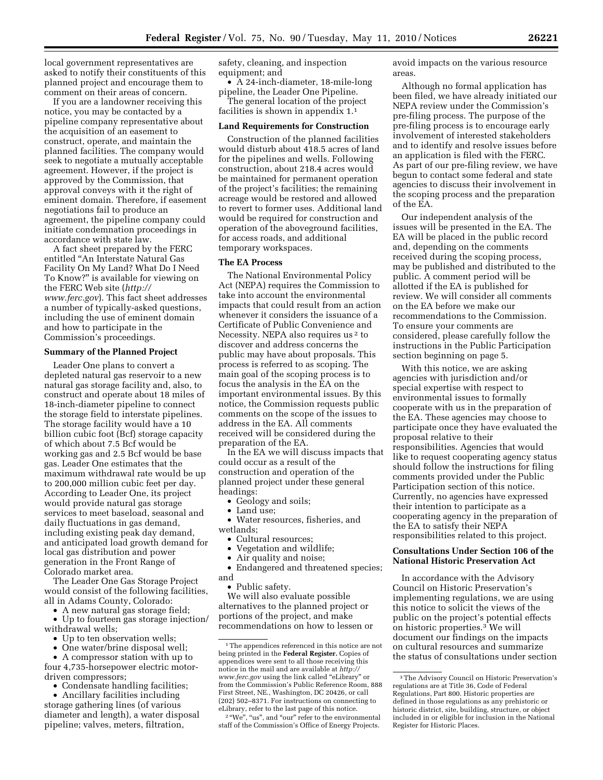local government representatives are asked to notify their constituents of this planned project and encourage them to comment on their areas of concern.

If you are a landowner receiving this notice, you may be contacted by a pipeline company representative about the acquisition of an easement to construct, operate, and maintain the planned facilities. The company would seek to negotiate a mutually acceptable agreement. However, if the project is approved by the Commission, that approval conveys with it the right of eminent domain. Therefore, if easement negotiations fail to produce an agreement, the pipeline company could initiate condemnation proceedings in accordance with state law.

A fact sheet prepared by the FERC entitled ''An Interstate Natural Gas Facility On My Land? What Do I Need To Know?'' is available for viewing on the FERC Web site (*http:// www.ferc.gov*). This fact sheet addresses a number of typically-asked questions, including the use of eminent domain and how to participate in the Commission's proceedings.

#### **Summary of the Planned Project**

Leader One plans to convert a depleted natural gas reservoir to a new natural gas storage facility and, also, to construct and operate about 18 miles of 18-inch-diameter pipeline to connect the storage field to interstate pipelines. The storage facility would have a 10 billion cubic foot (Bcf) storage capacity of which about 7.5 Bcf would be working gas and 2.5 Bcf would be base gas. Leader One estimates that the maximum withdrawal rate would be up to 200,000 million cubic feet per day. According to Leader One, its project would provide natural gas storage services to meet baseload, seasonal and daily fluctuations in gas demand, including existing peak day demand, and anticipated load growth demand for local gas distribution and power generation in the Front Range of Colorado market area.

The Leader One Gas Storage Project would consist of the following facilities, all in Adams County, Colorado:

• A new natural gas storage field;

• Up to fourteen gas storage injection/ withdrawal wells;

- Up to ten observation wells;
- One water/brine disposal well;

• A compressor station with up to four 4,735-horsepower electric motordriven compressors;

• Condensate handling facilities;

• Ancillary facilities including storage gathering lines (of various diameter and length), a water disposal pipeline; valves, meters, filtration,

safety, cleaning, and inspection equipment; and

• A 24-inch-diameter, 18-mile-long pipeline, the Leader One Pipeline.

The general location of the project facilities is shown in appendix 1.1

#### **Land Requirements for Construction**

Construction of the planned facilities would disturb about 418.5 acres of land for the pipelines and wells. Following construction, about 218.4 acres would be maintained for permanent operation of the project's facilities; the remaining acreage would be restored and allowed to revert to former uses. Additional land would be required for construction and operation of the aboveground facilities, for access roads, and additional temporary workspaces.

## **The EA Process**

The National Environmental Policy Act (NEPA) requires the Commission to take into account the environmental impacts that could result from an action whenever it considers the issuance of a Certificate of Public Convenience and Necessity. NEPA also requires us<sup>2</sup> to discover and address concerns the public may have about proposals. This process is referred to as scoping. The main goal of the scoping process is to focus the analysis in the EA on the important environmental issues. By this notice, the Commission requests public comments on the scope of the issues to address in the EA. All comments received will be considered during the preparation of the EA.

In the EA we will discuss impacts that could occur as a result of the construction and operation of the planned project under these general headings:

- Geology and soils;
- Land use;

• Water resources, fisheries, and wetlands;

- Cultural resources;
- Vegetation and wildlife;
- Air quality and noise;

• Endangered and threatened species; and

• Public safety.

We will also evaluate possible alternatives to the planned project or portions of the project, and make recommendations on how to lessen or

<sup>2</sup> "We", "us", and "our" refer to the environmental staff of the Commission's Office of Energy Projects.

avoid impacts on the various resource areas.

Although no formal application has been filed, we have already initiated our NEPA review under the Commission's pre-filing process. The purpose of the pre-filing process is to encourage early involvement of interested stakeholders and to identify and resolve issues before an application is filed with the FERC. As part of our pre-filing review, we have begun to contact some federal and state agencies to discuss their involvement in the scoping process and the preparation of the EA.

Our independent analysis of the issues will be presented in the EA. The EA will be placed in the public record and, depending on the comments received during the scoping process, may be published and distributed to the public. A comment period will be allotted if the EA is published for review. We will consider all comments on the EA before we make our recommendations to the Commission. To ensure your comments are considered, please carefully follow the instructions in the Public Participation section beginning on page 5.

With this notice, we are asking agencies with jurisdiction and/or special expertise with respect to environmental issues to formally cooperate with us in the preparation of the EA. These agencies may choose to participate once they have evaluated the proposal relative to their responsibilities. Agencies that would like to request cooperating agency status should follow the instructions for filing comments provided under the Public Participation section of this notice. Currently, no agencies have expressed their intention to participate as a cooperating agency in the preparation of the EA to satisfy their NEPA responsibilities related to this project.

# **Consultations Under Section 106 of the National Historic Preservation Act**

In accordance with the Advisory Council on Historic Preservation's implementing regulations, we are using this notice to solicit the views of the public on the project's potential effects on historic properties.3 We will document our findings on the impacts on cultural resources and summarize the status of consultations under section

<sup>1</sup>The appendices referenced in this notice are not being printed in the **Federal Register.** Copies of appendices were sent to all those receiving this notice in the mail and are available at *http:// www.ferc.gov* using the link called ''eLibrary'' or from the Commission's Public Reference Room, 888 First Street, NE., Washington, DC 20426, or call (202) 502–8371. For instructions on connecting to eLibrary, refer to the last page of this notice.

<sup>3</sup>The Advisory Council on Historic Preservation's regulations are at Title 36, Code of Federal Regulations, Part 800. Historic properties are defined in those regulations as any prehistoric or historic district, site, building, structure, or object included in or eligible for inclusion in the National Register for Historic Places.